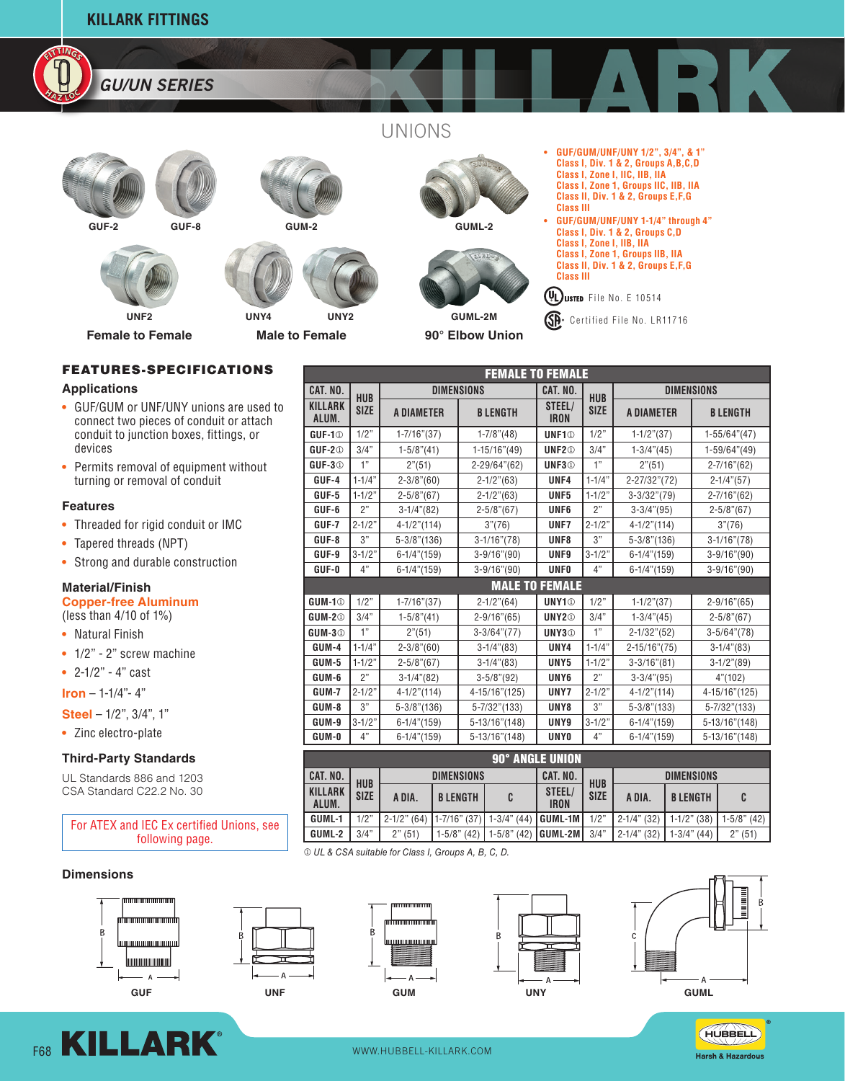



UNIONS





**GUF-2 GUF-8**





**Female to Female**

**Male to Female UNY4 UNY2**



**GUML-2**



**90° Elbow Union**

- **• GUF/GUM/UNF/UNY 1/2", 3/4", & 1" Class I, Div. 1 & 2, Groups A,B,C,D Class I, Zone I, IIC, IIB, IIA Class I, Zone 1, Groups IIC, IIB, IIA Class II, Div. 1 & 2, Groups E,F,G Class III**
- **• GUF/GUM/UNF/UNY 1-1/4" through 4" Class I, Div. 1 & 2, Groups C,D Class I, Zone I, IIB, IIA Class I, Zone 1, Groups IIB, IIA Class II, Div. 1 & 2, Groups E,F,G Class III**

 $(\mathsf{VL})$ LISTED File No. E 10514

GP Certified File No. LR11716

## **FEATURES-SPECIFICATIONS**

#### **Applications**

- **•** GUF/GUM or UNF/UNY unions are used to connect two pieces of conduit or attach conduit to junction boxes, fittings, or devices
- **•** Permits removal of equipment without turning or removal of conduit

### **Features**

- **•** Threaded for rigid conduit or IMC
- **•** Tapered threads (NPT)
- **•** Strong and durable construction

### **Material/Finish**

**Copper-free Aluminum** (less than 4/10 of 1%)

- **•** Natural Finish
- **•** 1/2" 2" screw machine
- **•** 2-1/2" 4" cast
- **Iron**  1-1/4"- 4"
- **Steel**  1/2", 3/4", 1"
- **•** Zinc electro-plate

### **Third-Party Standards**

UL Standards 886 and 1203 CSA Standard C22.2 No. 30



 $O$  UL & CSA suitable for Class I, Groups A, B, C, D.

### **Dimensions**











HUBBELL Harsh & Hazardous

F68 KILLARK<sup>®</sup> WWW.HUBBELL-KILLARK.COM

| <b>FEMALE TO FEMALE</b>   |             |                   |                    |                          |                   |                    |                    |  |  |  |  |  |
|---------------------------|-------------|-------------------|--------------------|--------------------------|-------------------|--------------------|--------------------|--|--|--|--|--|
| CAT. NO.                  | <b>HUB</b>  | <b>DIMENSIONS</b> | CAT. NO.           | <b>HUB</b>               | <b>DIMENSIONS</b> |                    |                    |  |  |  |  |  |
| KILLARK<br>ALUM.          | <b>SIZE</b> | <b>A DIAMETER</b> | <b>BLENGTH</b>     | STEEL/<br><b>IRON</b>    | <b>SIZE</b>       | <b>A DIAMETER</b>  | <b>B LENGTH</b>    |  |  |  |  |  |
| GUF-1 <sup>®</sup>        | 1/2"        | $1 - 7/16$ "(37)  | $1 - 7/8$ " $(48)$ | UNF1 <sup>®</sup>        | 1/2"              | $1-1/2" (37)$      | $1-55/64''(47)$    |  |  |  |  |  |
| $GUF-2①$                  | 3/4"        | $1-5/8$ "(41)     | 1-15/16"(49)       | UNF2 <sup>®</sup>        | 3/4"              | $1-3/4$ " $(45)$   | 1-59/64"(49)       |  |  |  |  |  |
| <b>GUF-3</b> <sup>®</sup> | 1"          | 2" (51)           | 2-29/64"(62)       | UNF3 <sup>®</sup>        | 1"                | 2" (51)            | $2 - 7/16''(62)$   |  |  |  |  |  |
| GUF-4                     | $1 - 1/4"$  | $2 - 3/8$ "(60)   | $2 - 1/2$ " $(63)$ | UNF4                     | $1 - 1/4"$        | 2-27/32"(72)       | $2 - 1/4$ " $(57)$ |  |  |  |  |  |
| $GUF-5$                   | $1 - 1/2"$  | $2 - 5/8$ "(67)   | $2 - 1/2$ " $(63)$ | UNF5                     | $1 - 1/2"$        | $3 - 3/32''(79)$   | $2 - 7/16''(62)$   |  |  |  |  |  |
| GUF-6                     | 2"          | $3-1/4" (82)$     | $2 - 5/8$ "(67)    | UNF <sub>6</sub>         | 2"                | $3-3/4" (95)$      | $2 - 5/8$ "(67)    |  |  |  |  |  |
| GUF-7                     | $2 - 1/2"$  | $4-1/2" (114)$    | 3''(76)            | UNF7                     | $2 - 1/2"$        | $4-1/2" (114)$     | 3''(76)            |  |  |  |  |  |
| GUF-8                     | 3"          | $5 - 3/8$ "(136)  | $3-1/16''(78)$     | UNF8                     | 3"                | $5 - 3/8$ "(136)   | $3-1/16''(78)$     |  |  |  |  |  |
| GUF-9                     | $3 - 1/2"$  | $6-1/4" (159)$    | $3-9/16''(90)$     | UNF9                     | $3 - 1/2"$        | $6-1/4" (159)$     | $3 - 9/16''(90)$   |  |  |  |  |  |
| GUF-0                     | 4"          | $6-1/4" (159)$    | $3 - 9/16''(90)$   | <b>UNFO</b>              | 4"                | $6-1/4$ "(159)     | $3 - 9/16''(90)$   |  |  |  |  |  |
| <b>MALE TO FEMALE</b>     |             |                   |                    |                          |                   |                    |                    |  |  |  |  |  |
| <b>GUM-1</b> <sup>0</sup> | 1/2"        | $1 - 7/16$ "(37)  | $2 - 1/2$ " $(64)$ | <b>UNY1</b> <sup>®</sup> | 1/2"              | $1-1/2" (37)$      | $2 - 9/16''(65)$   |  |  |  |  |  |
| $GUM-2①$                  | 3/4"        | $1-5/8$ "(41)     | $2 - 9/16''(65)$   | UNY2 <sup>®</sup>        | 3/4"              | $1 - 3/4$ " $(45)$ | $2 - 5/8$ "(67)    |  |  |  |  |  |
| GUM-3 <sup>1</sup>        | 1"          | 2" (51)           | $3-3/64''(77)$     | UNY3 <sup>®</sup>        | 1"                | $2 - 1/32$ " (52)  | $3-5/64''(78)$     |  |  |  |  |  |
| GUM-4                     | $1 - 1/4"$  | $2 - 3/8$ "(60)   | $3-1/4" (83)$      | UNY4                     | $1 - 1/4"$        | $2 - 15/16''(75)$  | $3-1/4$ " $(83)$   |  |  |  |  |  |
| GUM-5                     | $1 - 1/2"$  | $2 - 5/8$ "(67)   | $3-1/4$ " $(83)$   | UNY <sub>5</sub>         | $1 - 1/2"$        | $3 - 3/16''(81)$   | $3-1/2" (89)$      |  |  |  |  |  |
| GUM-6                     | 2"          | $3-1/4" (82)$     | $3-5/8$ "(92)      | UNY <sub>6</sub>         | 2"                | $3-3/4" (95)$      | 4" (102)           |  |  |  |  |  |
| GUM-7                     | $2 - 1/2"$  | $4-1/2" (114)$    | 4-15/16"(125)      | UNY7                     | $2 - 1/2"$        | $4-1/2" (114)$     | 4-15/16"(125)      |  |  |  |  |  |
| GUM-8                     | 3"          | $5 - 3/8$ "(136)  | $5 - 7/32$ "(133)  | UNY8                     | 3"                | $5 - 3/8$ "(133)   | $5 - 7/32$ "(133)  |  |  |  |  |  |
| GUM-9                     | $3 - 1/2"$  | $6-1/4$ "(159)    | 5-13/16"(148)      | UNY9                     | $3 - 1/2"$        | $6-1/4" (159)$     | 5-13/16"(148)      |  |  |  |  |  |
| GUM-0                     | 4"          | $6-1/4$ "(159)    | $5 - 13/16" (148)$ | <b>UNYO</b>              | 4"                | $6-1/4" (159)$     | 5-13/16"(148)      |  |  |  |  |  |

|  | ,,,,,,                  |                           | $U_{1}/T_{1}$ 100 |                   | $U$ 10/10 1170/<br>. |                       |             | <u>U 17 I I UU I</u> |                | <u>U IUI IU IITUI</u> |  |  |  |
|--|-------------------------|---------------------------|-------------------|-------------------|----------------------|-----------------------|-------------|----------------------|----------------|-----------------------|--|--|--|
|  |                         |                           |                   |                   |                      |                       |             |                      |                |                       |  |  |  |
|  | <b>90° ANGLE UNION</b>  |                           |                   |                   |                      |                       |             |                      |                |                       |  |  |  |
|  | CAT. NO.                | <b>HUB</b><br><b>SIZE</b> | <b>DIMENSIONS</b> |                   |                      | CAT. NO.              | <b>HUB</b>  | <b>DIMENSIONS</b>    |                |                       |  |  |  |
|  | <b>KILLARK</b><br>ALUM. |                           | A DIA.            | <b>BLENGTH</b>    | C                    | STEEL/<br><b>IRON</b> | <b>SIZE</b> | A DIA.               | <b>BLENGTH</b> |                       |  |  |  |
|  | GUML-1                  | 1/2"                      | $2-1/2$ " (64)    | $1 - 7/16$ " (37) | $1-3/4$ " (44)       | I GUML-1M             | 1/2"        | $2-1/4$ " (32)       | $1-1/2$ " (38) | $1-5/8$ " (42)        |  |  |  |
|  | GUML-2                  | 3/4"                      | 2" (51)           | $1-5/8$ " (42)    | $1-5/8$ " (42)       | GUML-2M               | 3/4"        | $2-1/4$ " (32)       | $1-3/4$ " (44) | 2" (51)               |  |  |  |